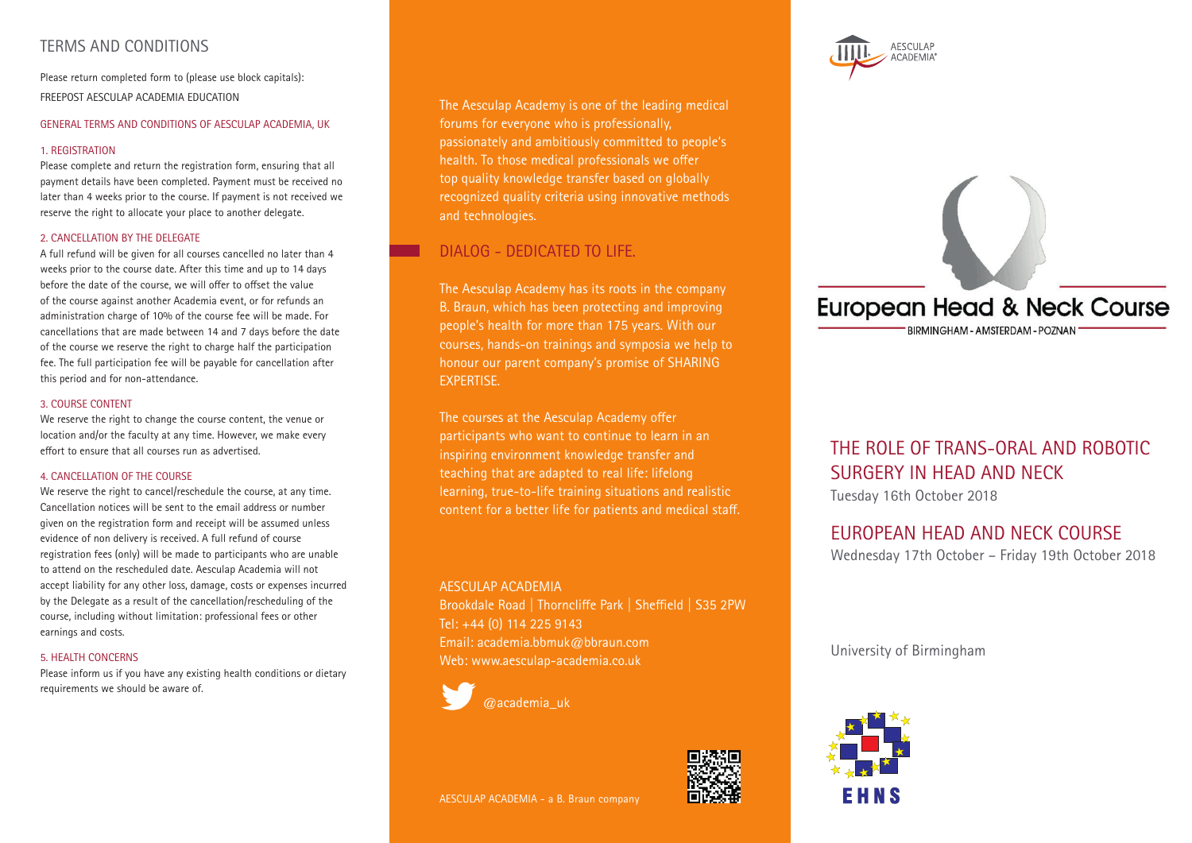# TERMS AND CONDITIONS

Please return completed form to (please use block capitals): FREEPOST AESCULAP ACADEMIA EDUCATION

#### GENERAL TERMS AND CONDITIONS OF AESCULAP ACADEMIA, UK

#### 1. REGISTRATION

Please complete and return the registration form, ensuring that all payment details have been completed. Payment must be received no later than 4 weeks prior to the course. If payment is not received we reserve the right to allocate your place to another delegate.

#### 2. CANCELLATION BY THE DELEGATE

A full refund will be given for all courses cancelled no later than 4 weeks prior to the course date. After this time and up to 14 days before the date of the course, we will offer to offset the value of the course against another Academia event, or for refunds an administration charge of 10% of the course fee will be made. For cancellations that are made between 14 and 7 days before the date of the course we reserve the right to charge half the participation fee. The full participation fee will be payable for cancellation after this period and for non-attendance.

#### 3. COURSE CONTENT

We reserve the right to change the course content, the venue or location and/or the faculty at any time. However, we make every effort to ensure that all courses run as advertised.

#### 4. CANCELLATION OF THE COURSE

We reserve the right to cancel/reschedule the course, at any time. Cancellation notices will be sent to the email address or number given on the registration form and receipt will be assumed unless evidence of non delivery is received. A full refund of course registration fees (only) will be made to participants who are unable to attend on the rescheduled date. Aesculap Academia will not accept liability for any other loss, damage, costs or expenses incurred by the Delegate as a result of the cancellation/rescheduling of the course, including without limitation: professional fees or other earnings and costs.

#### 5. HEALTH CONCERNS

Please inform us if you have any existing health conditions or dietary requirements we should be aware of.

The Aesculap Academy is one of the leading medical forums for everyone who is professionally, passionately and ambitiously committed to people's health. To those medical professionals we offer top quality knowledge transfer based on globally recognized quality criteria using innovative methods and technologies.

# DIALOG - DEDICATED TO LIFE.

The Aesculap Academy has its roots in the company B. Braun, which has been protecting and improving people's health for more than 175 years. With our courses, hands-on trainings and symposia we help to honour our parent company's promise of SHARING EXPERTISE.

The courses at the Aesculap Academy offer participants who want to continue to learn in an inspiring environment knowledge transfer and teaching that are adapted to real life: lifelong learning, true-to-life training situations and realistic content for a better life for patients and medical staff.

#### AESCULAP ACADEMIA

Brookdale Road | Thorncliffe Park | Sheffield | S35 2PW Tel: +44 (0) 114 225 9143 Email: academia.bbmuk@bbraun.com Web: www.aesculap-academia.co.uk



 $\sqrt{\omega}$ academia\_uk





# **European Head & Neck Course**

BIRMINGHAM - AMSTERDAM - POZNAN'

# THE ROLE OF TRANS-ORAL AND ROBOTIC SURGERY IN HEAD AND NECK

Tuesday 16th October 2018

# EUROPEAN HEAD AND NECK COURSE

Wednesday 17th October – Friday 19th October 2018

University of Birmingham